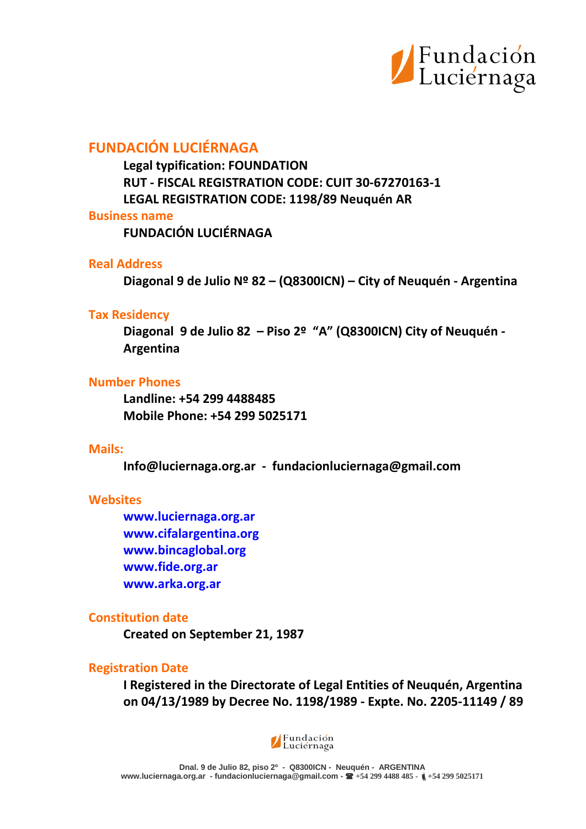

# **FUNDACIÓN LUCIÉRNAGA**

**Legal typification: FOUNDATION RUT - FISCAL REGISTRATION CODE: CUIT 30-67270163-1 LEGAL REGISTRATION CODE: 1198/89 Neuquén AR**

### **Business name**

**FUNDACIÓN LUCIÉRNAGA**

## **Real Address**

**Diagonal 9 de Julio Nº 82 – (Q8300ICN) – City of Neuquén - Argentina**

### **Tax Residency**

**Diagonal 9 de Julio 82 – Piso 2º "A" (Q8300ICN) City of Neuquén - Argentina**

## **Number Phones**

**Landline: +54 299 4488485 Mobile Phone: +54 299 5025171**

## **Mails:**

**Info@luciernaga.org.ar - fundacionluciernaga@gmail.com**

## **Websites**

**[www.luciernaga.org.ar](http://www.luciernaga.org.ar/) [www.cifalargentina.org](http://www.cifalargentina.org/) [www.bincaglobal.org](http://www.bincaglobal.org/) [www.fide.org.ar](http://www.fide.org.ar/) [www.arka.org.ar](http://www.arka.org.ar/)**

## **Constitution date**

**Created on September 21, 1987**

## **Registration Date**

**I Registered in the Directorate of Legal Entities of Neuquén, Argentina on 04/13/1989 by Decree No. 1198/1989 - Expte. No. 2205-11149 / 89**

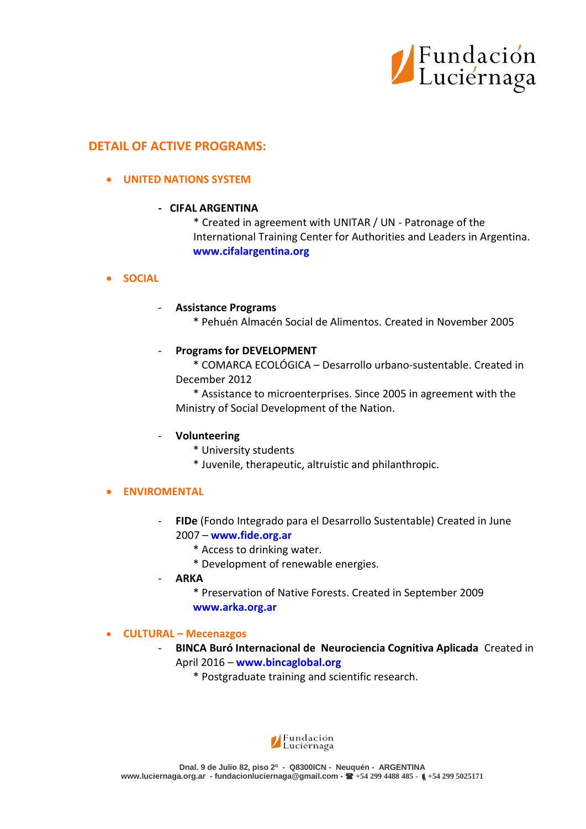

## **DETAIL OF ACTIVE PROGRAMS:**

### **UNITED NATIONS SYSTEM**

#### **- CIFAL ARGENTINA**

\* Created in agreement with UNITAR / UN - Patronage of the International Training Center for Authorities and Leaders in Argentina. **[www.cifalargentina.org](http://www.cifalargentina.org/)**

### **SOCIAL**

#### - **Assistance Programs**

\* Pehuén Almacén Social de Alimentos. Created in November 2005

#### - **Programs for DEVELOPMENT**

\* COMARCA ECOLÓGICA – Desarrollo urbano-sustentable. Created in December 2012

\* Assistance to microenterprises. Since 2005 in agreement with the Ministry of Social Development of the Nation.

### - **Volunteering**

- \* University students
- \* Juvenile, therapeutic, altruistic and philanthropic.

### **ENVIROMENTAL**

- **FIDe** (Fondo Integrado para el Desarrollo Sustentable) Created in June 2007 – **[www.fide.org.ar](http://www.fide.org.ar/)**
	- \* Access to drinking water.
	- \* Development of renewable energies.
- **ARKA**
	- \* Preservation of Native Forests. Created in September 2009 **[www.arka.org.ar](http://www.arka.org.ar/)**

#### **CULTURAL – Mecenazgos**

- **BINCA Buró Internacional de Neurociencia Cognitiva Aplicada** Created in April 2016 – **[www.bincaglobal.org](http://www.bincaglobal.org/)**
	- \* Postgraduate training and scientific research.

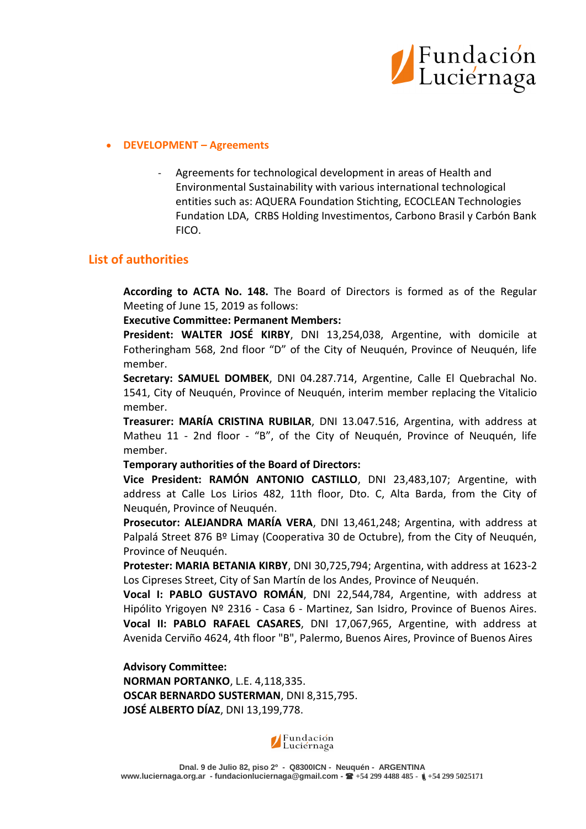

#### **DEVELOPMENT – Agreements**

Agreements for technological development in areas of Health and Environmental Sustainability with various international technological entities such as: AQUERA Foundation Stichting, ECOCLEAN Technologies Fundation LDA, CRBS Holding Investimentos, Carbono Brasil y Carbón Bank FICO.

## **List of authorities**

**According to ACTA No. 148.** The Board of Directors is formed as of the Regular Meeting of June 15, 2019 as follows:

#### **Executive Committee: Permanent Members:**

**President: WALTER JOSÉ KIRBY**, DNI 13,254,038, Argentine, with domicile at Fotheringham 568, 2nd floor "D" of the City of Neuquén, Province of Neuquén, life member.

**Secretary: SAMUEL DOMBEK**, DNI 04.287.714, Argentine, Calle El Quebrachal No. 1541, City of Neuquén, Province of Neuquén, interim member replacing the Vitalicio member.

**Treasurer: MARÍA CRISTINA RUBILAR**, DNI 13.047.516, Argentina, with address at Matheu 11 - 2nd floor - "B", of the City of Neuquén, Province of Neuquén, life member.

#### **Temporary authorities of the Board of Directors:**

**Vice President: RAMÓN ANTONIO CASTILLO**, DNI 23,483,107; Argentine, with address at Calle Los Lirios 482, 11th floor, Dto. C, Alta Barda, from the City of Neuquén, Province of Neuquén.

**Prosecutor: ALEJANDRA MARÍA VERA**, DNI 13,461,248; Argentina, with address at Palpalá Street 876 Bº Limay (Cooperativa 30 de Octubre), from the City of Neuquén, Province of Neuquén.

**Protester: MARIA BETANIA KIRBY**, DNI 30,725,794; Argentina, with address at 1623-2 Los Cipreses Street, City of San Martín de los Andes, Province of Neuquén.

**Vocal I: PABLO GUSTAVO ROMÁN**, DNI 22,544,784, Argentine, with address at Hipólito Yrigoyen Nº 2316 - Casa 6 - Martinez, San Isidro, Province of Buenos Aires. **Vocal II: PABLO RAFAEL CASARES**, DNI 17,067,965, Argentine, with address at Avenida Cerviño 4624, 4th floor "B", Palermo, Buenos Aires, Province of Buenos Aires

**Advisory Committee: NORMAN PORTANKO**, L.E. 4,118,335. **OSCAR BERNARDO SUSTERMAN**, DNI 8,315,795. **JOSÉ ALBERTO DÍAZ**, DNI 13,199,778.

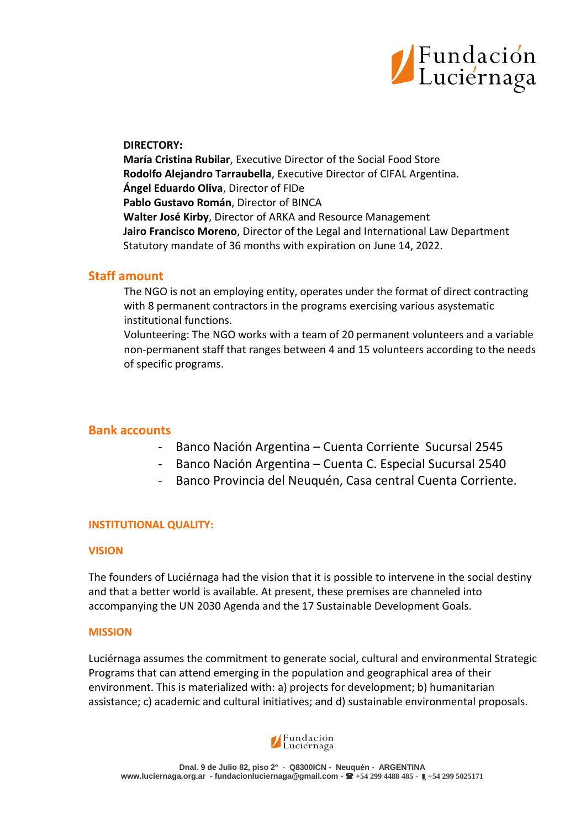

#### **DIRECTORY:**

**María Cristina Rubilar**, Executive Director of the Social Food Store **Rodolfo Alejandro Tarraubella**, Executive Director of CIFAL Argentina. **Ángel Eduardo Oliva**, Director of FIDe **Pablo Gustavo Román**, Director of BINCA **Walter José Kirby**, Director of ARKA and Resource Management **Jairo Francisco Moreno**, Director of the Legal and International Law Department Statutory mandate of 36 months with expiration on June 14, 2022.

## **Staff amount**

The NGO is not an employing entity, operates under the format of direct contracting with 8 permanent contractors in the programs exercising various asystematic institutional functions.

Volunteering: The NGO works with a team of 20 permanent volunteers and a variable non-permanent staff that ranges between 4 and 15 volunteers according to the needs of specific programs.

## **Bank accounts**

- Banco Nación Argentina Cuenta Corriente Sucursal 2545
- Banco Nación Argentina Cuenta C. Especial Sucursal 2540
- Banco Provincia del Neuquén, Casa central Cuenta Corriente.

### **INSTITUTIONAL QUALITY:**

#### **VISION**

The founders of Luciérnaga had the vision that it is possible to intervene in the social destiny and that a better world is available. At present, these premises are channeled into accompanying the UN 2030 Agenda and the 17 Sustainable Development Goals.

#### **MISSION**

Luciérnaga assumes the commitment to generate social, cultural and environmental Strategic Programs that can attend emerging in the population and geographical area of their environment. This is materialized with: a) projects for development; b) humanitarian assistance; c) academic and cultural initiatives; and d) sustainable environmental proposals.

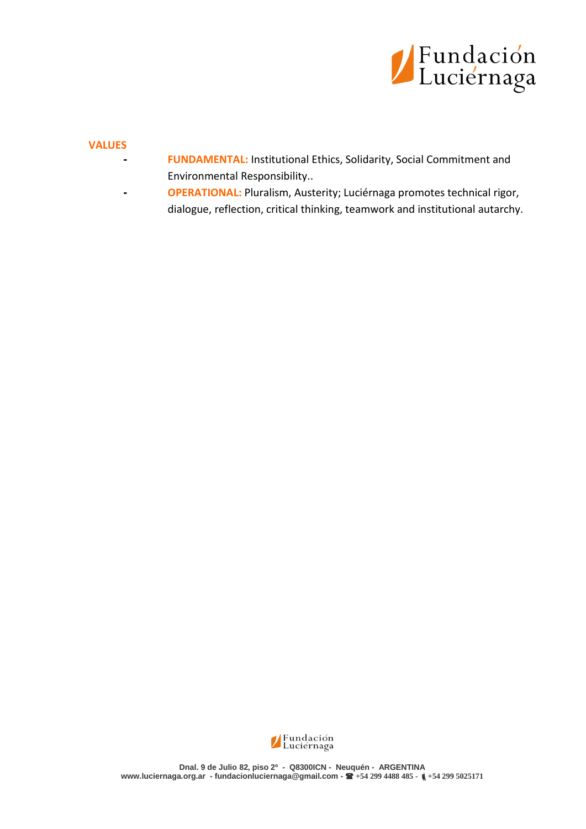

#### **VALUES**

- **- FUNDAMENTAL:** Institutional Ethics, Solidarity, Social Commitment and Environmental Responsibility..
- **- OPERATIONAL:** Pluralism, Austerity; Luciérnaga promotes technical rigor, dialogue, reflection, critical thinking, teamwork and institutional autarchy.

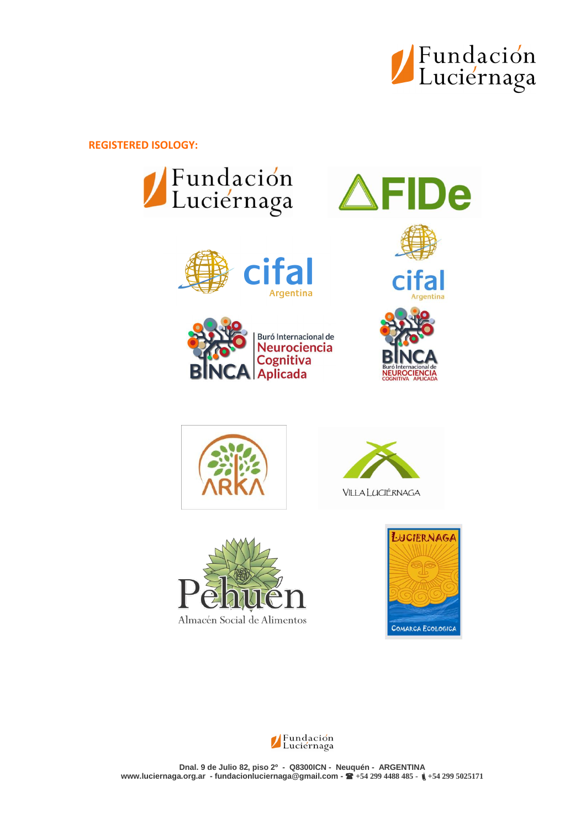

De

**REGISTERED ISOLOGY:**